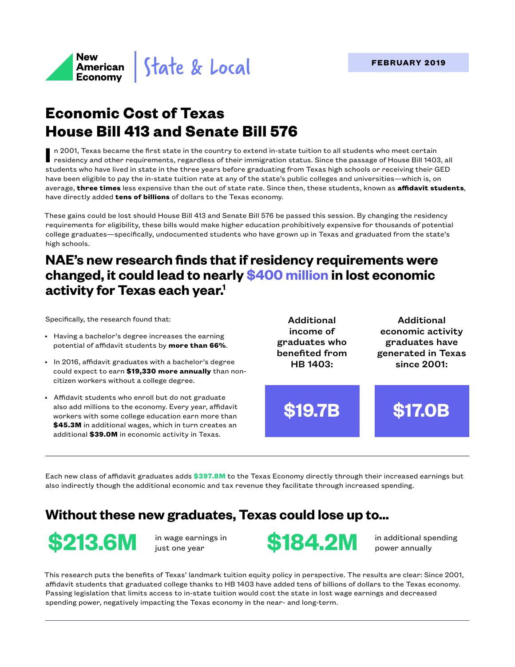

# **Economic Cost of Texas House Bill 413 and Senate Bill 576**

n 2001, Texas became the first state in the country to extend in-state tuition to all students who meet certain<br>residency and other requirements, regardless of their immigration status. Since the passage of House Bill 1403 students who have lived in state in the three years before graduating from Texas high schools or receiving their GED have been eligible to pay the in-state tuition rate at any of the state's public colleges and universities—which is, on average, **three times** less expensive than the out of state rate. Since then, these students, known as **affidavit students**, have directly added **tens of billions** of dollars to the Texas economy.

These gains could be lost should House Bill 413 and Senate Bill 576 be passed this session. By changing the residency requirements for eligibility, these bills would make higher education prohibitively expensive for thousands of potential college graduates—specifically, undocumented students who have grown up in Texas and graduated from the state's high schools.

## **NAE's new research finds that if residency requirements were changed, it could lead to nearly \$400 million in lost economic activity for Texas each year.1**

Specifically, the research found that:

- Having a bachelor's degree increases the earning potential of affidavit students by **more than 66%**.
- In 2016, affidavit graduates with a bachelor's degree could expect to earn **\$19,330 more annually** than noncitizen workers without a college degree.
- Affidavit students who enroll but do not graduate also add millions to the economy. Every year, affidavit workers with some college education earn more than **\$45.3M** in additional wages, which in turn creates an additional **\$39.0M** in economic activity in Texas.

Additional income of graduates who benefited from HB 1403:

Additional economic activity graduates have generated in Texas since 2001:

**\$19.7B \$17.0B**

Each new class of affidavit graduates adds **\$397.8M** to the Texas Economy directly through their increased earnings but also indirectly though the additional economic and tax revenue they facilitate through increased spending.

## **Without these new graduates, Texas could lose up to...**





power annually

This research puts the benefits of Texas' landmark tuition equity policy in perspective. The results are clear: Since 2001, affidavit students that graduated college thanks to HB 1403 have added tens of billions of dollars to the Texas economy. Passing legislation that limits access to in-state tuition would cost the state in lost wage earnings and decreased spending power, negatively impacting the Texas economy in the near- and long-term.